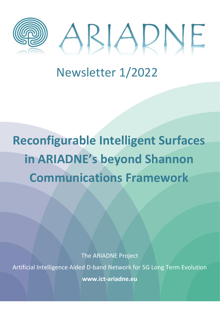



## Newsletter 1/2022

# **Reconfigurable Intelligent Surfaces in ARIADNE's beyond Shannon Communications Framework**

The ARIADNE Project

Artificial Intelligence Aided D-band Network for 5G Long Term Evolution

**www.ict-ariadne.eu**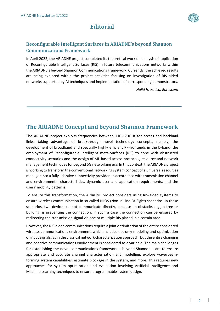## **Editorial**

## **Reconfigurable Intelligent Surfaces in ARIADNE's beyond Shannon Communications Framework**

In April 2022, the ARIADNE project completed its theoretical work on analysis of application of Reconfigurable Intelligent Surfaces (RIS) in future telecommunications networks within the ARIADNE's beyond Shannon Communications Framework. Currently, the achieved results are being explored within the project activities focusing on investigation of RIS aided networks supported by AI techniques and implementation of corresponding demonstrators.

*Halid Hrasnica, Eurescom*

## **The ARIADNE Concept and beyond Shannon Framework**

The ARIADNE project exploits frequencies between 110-170GHz for access and backhaul links, taking advantage of breakthrough novel technology concepts, namely, the development of broadband and spectrally highly efficient RF-frontends in the D-band, the employment of Reconfigurable Intelligent meta-Surfaces (RIS) to cope with obstructed connectivity scenarios and the design of ML-based access protocols, resource and network management techniques for beyond 5G networking era. In this context, the ARIADNE project is working to transform the conventional networking system concept of a universal resources manager into a fully adaptive connectivity provider, in accordance with transmission channel and environmental characteristics, dynamic user and application requirements, and the users' mobility patterns.

To ensure this transformation, the ARIADNE project considers using RIS-aided systems to ensure wireless communication in so-called NLOS (Non in Line Of Sight) scenarios. In these scenarios, two devices cannot communicate directly, because an obstacle, e.g., a tree or building, is preventing the connection. In such a case the connection can be ensured by redirecting the transmission signal via one or multiple RIS placed in a certain area.

However, the RIS-aided communications require a joint optimization of the entire considered wireless communications environment, which includes not only modeling and optimization of input signals, as in the classical network characterization approach, but the entire changing and adaptive communications environment is considered as a variable. The main challenges for establishing the novel communications framework – beyond Shannon – are to ensure appropriate and accurate channel characterization and modelling, explore wave/beamforming system capabilities, estimate blockage in the system, and more. This requires new approaches for system optimization and evaluation involving Artificial Intelligence and Machine Learning techniques to ensure programmable system design.

2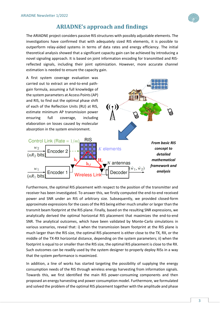## **ARIADNE's approach and findings**

The ARIADNE project considers passive RIS structures with possibly adjustable elements. The investigations have confirmed that with adequately sized RIS elements, it is possible to outperform relay-aided systems in terms of data rates and energy efficiency. The initial theoretical analysis showed that a significant capacity gain can be achieved by introducing a novel signaling approach. It is based on joint information encoding for transmitted and RISreflected signals, including their joint optimization. However, more accurate channel estimation is needed to ensure the capacity gain.

A first system coverage evaluation was carried out to extract an end-to-end pathgain formula, assuming a full knowledge of the system parameters at Access Points (AP) and RIS, to find out the optimal phase shift of each of the Reflection Units (RU) at RIS, estimate minimum AP transmission power ensuring full coverage, including elaboration on losses caused by molecular absorption in the system environment.



Furthermore, the optimal RIS placement with respect to the position of the transmitter and receiver has been investigated. To answer this, we firstly computed the end-to-end received power and SNR under an RIS of arbitrary size. Subsequently, we provided closed-form approximate expressions for the cases of the RIS being either much smaller or larger than the transmit beam footprint at the RIS plane. Finally, based on the resulting SNR expressions, we analytically derived the optimal horizontal RIS placement that maximizes the end-to-end SNR. The analytical outcomes, which have been validated by Monte-Carlo simulations in various scenarios, reveal that: i) when the transmission beam footprint at the RIS plane is much larger than the RIS size, the optimal RIS placement is either close to the TX, RX, or the middle of the TX-RX horizontal distance, depending on the system parameters; ii) when the footprint is equal to or smaller than the RIS size, the optimal RIS placement is close to the RX. Such outcomes can be readily used by the system designer to properly deploy RISs in a way that the system performance is maximized.

In addition, a line of works has started targeting the possibility of supplying the energy consumption needs of the RIS through wireless energy harvesting from information signals. Towards this, we first identified the main RIS power-consuming components and then proposed an energy harvesting and power consumption model. Furthermore, we formulated and solved the problem of the optimal RIS placement together with the amplitude and phase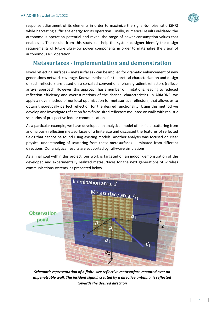response adjustment of its elements in order to maximize the signal-to-noise ratio (SNR) while harvesting sufficient energy for its operation. Finally, numerical results validated the autonomous operation potential and reveal the range of power consumption values that enables it. The results from this study can help the system designer identify the design requirements of future ultra-low power components in order to materialize the vision of autonomous RIS operation.

## **Metasurfaces - Implementation and demonstration**

Novel reflecting surfaces – metasurfaces - can be implied for dramatic enhancement of new generations network coverage. Known methods for theoretical characterization and design of such reflectors are based on a so-called conventional phase-gradient reflectors (reflectarrays) approach. However, this approach has a number of limitations, leading to reduced reflection efficiency and overestimations of the channel characteristics. In ARIADNE, we apply a novel method of nonlocal optimization for metasurface reflectors, that allows us to obtain theoretically perfect reflection for the desired functionality. Using this method we develop and investigate reflection from finite-sized reflectors mounted on walls with realistic scenarios of prospective indoor communications.

As a particular example, we have developed an analytical model of far-field scattering from anomalously reflecting metasurfaces of a finite size and discussed the features of reflected fields that cannot be found using existing models. Another analysis was focused on clear physical understanding of scattering from these metasurfaces illuminated from different directions. Our analytical results are supported by full-wave simulations.

As a final goal within this project, our work is targeted on an indoor demonstration of the developed and experimentally realized metasurfaces for the next generations of wireless communications systems, as presented below.



*Schematic representation of a finite-size reflective metasurface mounted over an impenetrable wall. The incident signal, created by a directive antenna, is reflected towards the desired direction*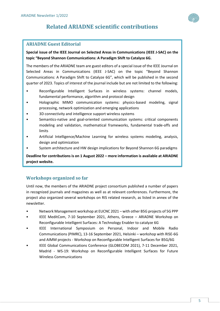## **Related ARIADNE scientific contributions**

## **ARIADNE Guest Editorial**

#### **Special issue of the IEEE Journal on Selected Areas in Communications (IEEE J-SAC) on the topic "Beyond Shannon Communications: A Paradigm Shift to Catalyze 6G.**

The members of the ARIADNE team are guest editors of a special issue of the IEEE Journal on Selected Areas in Communications (IEEE J-SAC) on the topic "Beyond Shannon Communications: A Paradigm Shift to Catalyze 6G", which will be published in the second quarter of 2023. Topics of interest of the journal include but are not limited to the following:

- Reconfigurable Intelligent Surfaces in wireless systems: channel models, fundamental performance, algorithm and protocol design
- Holographic MIMO communication systems: physics-based modeling, signal processing, network optimization and emerging applications
- 3D connectivity and intelligence support wireless systems
- Semantics-native and goal-oriented communication systems: critical components modeling and validation, mathematical frameworks, fundamental trade-offs and limits
- Artificial Intelligence/Machine Learning for wireless systems modeling, analysis, design and optimization
- System architecture and HW design implications for Beyond Shannon 6G paradigms

**Deadline for contributions is on 1 August 2022 – more information is available at ARIADNE project website.**

### **Workshops organized so far**

Until now, the members of the ARIADNE project consortium published a number of papers in recognized journals and magazines as well as at relevant conferences. Furthermore, the project also organized several workshops on RIS related research, as listed in annex of the newsletter.

- Network Management workshop at EUCNC 2021 with other B5G projects of 5G PPP
- IEEE MeditCom, 7-10 September 2021, Athens, Greece ARIADNE Workshop on Reconfigurable Intelligent Surfaces: A Technology Enabler to catalyze 6G
- IEEE International Symposium on Personal, Indoor and Mobile Radio Communications (PIMRC), 13-16 September 2021, Helsinki – workshop with RISE-6G and AIMM projects - Workshop on Reconfigurable Intelligent Surfaces for B5G/6G
- IEEE Global Communications Conference (GLOBECOM 2021), 7-11 December 2021, Madrid - WS-19: Workshop on Reconfigurable Intelligent Surfaces for Future Wireless Communications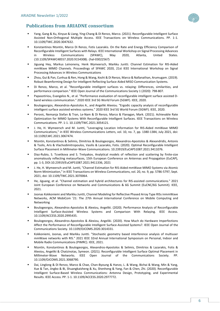

#### **Publications from ARIADNE consortium**

- Yang, Gang & Xu, Xinyue & Liang, Ying-Chang & Di Renzo, Marco. (2021). Reconfigurable Intelligent Surface Assisted Non-Orthogonal Multiple Access. IEEE Transactions on Wireless Communications. PP. 1-1. 10.1109/TWC.2020.3047632.
- Konstantinos Ntontin, Marco Di Renzo, Fotis Lazarakis. On the Rate and Energy Efficiency Comparison of Reconfigurable Intelligent Surfaces with Relays. IEEE International Workshop on Signal Processing Advances in Wireless Communications (SPAWC), May 2020, Atlanta, United States. ⟨10.1109/SPAWC48557.2020.9154308⟩. ⟨hal-03022567⟩
- Jiguang Hey, Markus Leinoneny, Henk Wymeersch, Markku Juntti, Channel Estimation for RIS-Aided mmWave MIMO Channels. Proceedings of SPAWC 2020, 21st IEEE International Workshop on Signal Processing Advances in Wireless Communications
- Zhou, Gui & Pan, Cunhua & Ren, Hong & Wang, Kezhi & Di Renzo, Marco & Nallanathan, Arumugam. (2019). Robust Beamforming Design for Intelligent Reflecting Surface Aided MISO Communication Systems.
- Di Renzo, Marco, et al. "Reconfigurable intelligent surfaces vs. relaying: Differences, similarities, and performance comparison." IEEE Open Journal of the Communications Society 1 (2020): 798-807.
- Papasotiriou, Evangelos N., et al. "Performance evaluation of reconfigurable intelligent surface assisted Dband wireless communication." 2020 IEEE 3rd 5G World Forum (5GWF). IEEE, 2020.
- Boulogeorgos, Alexandros-Apostolos A., and Angeliki Alexiou. "Ergodic capacity analysis of reconfigurable intelligent surface assisted wireless systems." 2020 IEEE 3rd 5G World Forum (5GWF). IEEE, 2020.
- Perovic, Nemanja Stefan & Tran, Le-Nam & Di Renzo, Marco & Flanagan, Mark. (2021). Achievable Rate Optimization for MIMO Systems With Reconfigurable Intelligent Surfaces. IEEE Transactions on Wireless Communications. PP. 1-1. 10.1109/TWC.2021.3054121.
- J. He, H. Wymeersch and M. Juntti, "Leveraging Location Information for RIS-Aided mmWave MIMO Communications," in IEEE Wireless Communications Letters, vol. 10, no. 7, pp. 1380-1384, July 2021, doi: 10.1109/LWC.2021.3067474.
- Ntontin, Konstantinos & Selimis, Dimitrios & Boulogeorgos, Alexandros-Apostolos & Alexandridis, Antonis & Tsolis, Aris & Vlachodimitropoulos, Vasilis & Lazarakis, Fotis. (2020). Optimal Reconfigurable Intelligent Surface Placement in Millimeter-Wave Communications. 10.23919/EuCAP51087.2021.9411076.
- Diaz-Rubio, S. Tcvetkova and S. Tretyakov, Analytical models of reflection and scattering by finite-size anomalously reflecting metasurfaces, 15th European Conference on Antennas and Propagation (EuCAP), pp. 1-3, DOI:10.23919/EuCAP51087.2021.9411336, 2021
- J. He, H. Wymeersch and M. Juntti, "Channel Estimation for RIS-Aided mmWave MIMO Systems via Atomic Norm Minimization," in IEEE Transactions on Wireless Communications, vol. 20, no. 9, pp. 5786-5797, Sept. 2021, doi: 10.1109/TWC.2021.3070064.
- He, Jiguang, et al. "Channel estimation and hybrid architectures for RIS-assisted communications." 2021 Joint European Conference on Networks and Communications & 6G Summit (EuCNC/6G Summit). IEEE, 2021.
- Joonas Kokkoniemi and Markku Juntti, Channel Modeling for Reflective Phased Array Type RISs inmmWave Networks, ACM MobiCom '21: The 27th Annual International Conference on Mobile Computing and Networking
- Boulogeorgos, Alexandros-Apostolos & Alexiou, Angeliki. (2020). Performance Analysis of Reconfigurable Intelligent Surface-Assisted Wireless Systems and Comparison With Relaying. IEEE Access. 10.1109/ACCESS.2020.2995435.
- Boulogeorgos, Alexandros-Apostolos & Alexiou, Angeliki. (2020). How Much do Hardware Imperfections Affect the Performance of Reconfigurable Intelligent Surface-Assisted Systems?. IEEE Open Journal of the Communications Society. 10.1109/OJCOMS.2020.3014331.
- Kokkoniemi, Joonas, and Markku Juntti. "Stochastic geometry based interference analysis of multiuser mmWave networks with RIS." 2021 IEEE 32nd Annual International Symposium on Personal, Indoor and Mobile Radio Communications (PIMRC). IEEE, 2021.
- Ntontin, Konstantinos & Boulogeorgos, Alexandros-Apostolos & Selimis, Dimitrios & Lazarakis, Fotis & Alexiou, Angeliki & Chatzinotas, Symeon. (2021). Reconfigurable Intelligent Surface Optimal Placement in Millimeter-Wave Networks. IEEE Open Journal of the Communications Society. PP. 10.1109/OJCOMS.2021.3068790.
- Dai, Linglong & Di Renzo, Marco & Chae, Chan-Byoung & Hanzo, L. & Wang, Bichai & Wang, Min & Yang, Xue & Tan, Jingbo & Bi, Shuangkaisheng & Xu, Shenheng & Yang, Fan & Chen, Zhi. (2020). Reconfigurable Intelligent Surface-Based Wireless Communications: Antenna Design, Prototyping, and Experimental Results. IEEE Access. PP. 1-1. 10.1109/ACCESS.2020.2977772.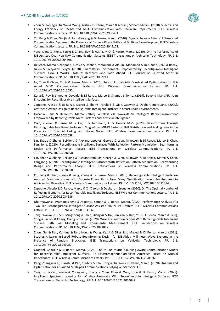

- Xu, Peng & Chen, Gaojie & Pan, Gaofeng & Di Renzo, Marco. (2020). Ergodic Secrecy Rate of RIS-Assisted Communication Systems in the Presence of Discrete Phase Shifts and Multiple Eavesdroppers. IEEE Wireless Communications Letters. PP. 1-1. 10.1109/LWC.2020.3044178.
- Yang, Liang & Meng, Fanxu & Zhang, Jiayi & Hasna, M.O. & Renzo, Marco. (2020). On the Performance of RIS-Assisted Dual-Hop UAV Communication Systems. IEEE Transactions on Vehicular Technology. PP. 1-1. 10.1109/TVT.2020.3004598.
- Di Renzo, Marco & Zappone, Alessio & Debbah, mérouane & Alouini, Mohamed-Slim & Yuen, Chau & Rosny, Julien & Tretyakov, Sergei. (2020). Smart Radio Environments Empowered by Reconfigurable Intelligent Surfaces: How it Works, State of Research, and Road Ahead. IEEE Journal on Selected Areas in Communications. PP. 1-1. 10.1109/JSAC.2020.3007211.
- Le, Tuan & Chien, Trinh & Renzo, Marco. (2020). Robust Probabilistic-Constrained Optimization for IRS-Aided MISO Communication Systems. IEEE Wireless Communications Letters. PP. 1-1. 10.1109/LWC.2020.3016592.
- Karasik, Roy & Simeone, Osvaldo & Di Renzo, Marco & Shamai, Shlomo. (2019). Beyond Max-SNR: Joint Encoding for Reconfigurable Intelligent Surfaces.
- Zappone, Alessio & Di Renzo, Marco & Shams, Farshad & Qian, Xuewen & Debbah, mérouane. (2020). Overhead-Aware Design of Reconfigurable Intelligent Surfaces in Smart Radio Environments.
- Gacanin, Haris & Di Renzo, Marco. (2020). Wireless 2.0: Towards an Intelligent Radio Environment Empowered by Reconfigurable Meta-Surfaces and Artificial Intelligence.
- Qian, Xuewen & Renzo, M. & Liu, J. & Kammoun, A. & Alouini, M.-S. (2020). Beamforming Through Reconfigurable Intelligent Surfaces in Single-User MIMO Systems: SNR Distribution and Scaling Laws in the Presence of Channel Fading and Phase Noise. IEEE Wireless Communications Letters. PP. 1-1. 10.1109/LWC.2020.3021058.
- Lin, Shaoe & Zheng, Beixiong & Alexandropoulos, George & Wen, Miaowen & Di Renzo, Marco & Chen, Fangjiong. (2020). Reconfigurable Intelligent Surfaces With Reflection Pattern Modulation: Beamforming Design and Performance Analysis. IEEE Transactions on Wireless Communications. PP. 1-1. 10.1109/TWC.2020.3028198.
- Lin, Shaoe & Zheng, Beixiong & Alexandropoulos, George & Wen, Miaowen & Di Renzo, Marco & Chen, Fangjiong. (2020). Reconfigurable Intelligent Surfaces With Reflection Pattern Modulation: Beamforming Design and Performance Analysis. IEEE Transactions on Wireless Communications. PP. 1-1. 10.1109/TWC.2020.3028198.
- Xu, Peng & Chen, Gaojie & Yang, Zheng & Di Renzo, Marco. (2020). Reconfigurable Intelligent Surfaces-Assisted Communications With Discrete Phase Shifts: How Many Quantization Levels Are Required to Achieve Full Diversity?. IEEE Wireless Communications Letters. PP. 1-1. 10.1109/LWC.2020.3031084.
- Zappone, Alessio & Di Renzo, Marco & Xi, Xiaojun & Debbah, mérouane. (2020). On The Optimal Number of Reflecting Elements for Reconfigurable Intelligent Surfaces. IEEE Wireless Communications Letters. PP. 1-1. 10.1109/LWC.2020.3034686.
- Dharmawansa, Prathapasinghe & Atapattu, Saman & Di Renzo, Marco. (2020). Performance Analysis of a Two–Tile Reconfigurable Intelligent Surface Assisted 2×2 MIMO System. IEEE Wireless Communications Letters. PP. 1-1. 10.1109/LWC.2020.3035661.
- Tang, Wankai & Chen, Mingzheng & Chen, Xiangyu & Dai, Jun Yan & Han, Yu & Di Renzo, Marco & Zeng, Yong & Jin, Shi & Cheng, Qiang & Cui, Tie. (2020). Wireless Communications With Reconfigurable Intelligent Surface: Path Loss Modeling and Experimental Measurement. IEEE Transactions on Wireless Communications. PP. 1-1. 10.1109/TWC.2020.3024887.
- Zhou, Gui & Pan, Cunhua & Ren, Hong & Wang, Kezhi & Elkashlan, Maged & Di Renzo, Marco. (2021). Stochastic Learning-Based Robust Beamforming Design for RIS-Aided Millimeter-Wave Systems in the Presence of Random Blockages. IEEE Transactions on Vehicular Technology. PP. 1-1. 10.1109/TVT.2021.3049257.
- Gradoni, Gabriele & Di Renzo, Marco. (2021). End-to-End Mutual Coupling Aware Communication Model for Reconfigurable Intelligent Surfaces: An Electromagnetic-Compliant Approach Based on Mutual Impedances. IEEE Wireless Communications Letters. PP. 1-1. 10.1109/LWC.2021.3050826.
- Peng, Zhangjie & Li, Tianshu & Pan, Cunhua & Ren, Hong & Xu, Wei & Di Renzo, Marco. (2020). Analysis and Optimization for IRS-Aided Multi-pair Communications Relying on Statistical CSI.
- Yang, Bo & Cao, Xuelin & Chongwen, Huang & Yuen, Chau & Qian, Lijun & Di Renzo, Marco. (2021). Intelligent Spectrum Learning for Wireless Networks With Reconfigurable Intelligent Surfaces. IEEE Transactions on Vehicular Technology. PP. 1-1. 10.1109/TVT.2021.3064042.